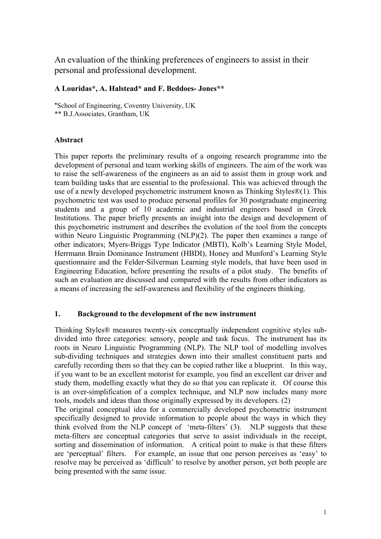An evaluation of the thinking preferences of engineers to assist in their personal and professional development.

#### **A Louridas\*, A. Halstead\* and F. Beddoes- Jones\*\***

\*School of Engineering, Coventry University, UK \*\* B.J.Associates, Grantham, UK

#### **Abstract**

This paper reports the preliminary results of a ongoing research programme into the development of personal and team working skills of engineers. The aim of the work was to raise the self-awareness of the engineers as an aid to assist them in group work and team building tasks that are essential to the professional. This was achieved through the use of a newly developed psychometric instrument known as Thinking Styles®(1). This psychometric test was used to produce personal profiles for 30 postgraduate engineering students and a group of 10 academic and industrial engineers based in Greek Institutions. The paper briefly presents an insight into the design and development of this psychometric instrument and describes the evolution of the tool from the concepts within Neuro Linguistic Programming (NLP)(2). The paper then examines a range of other indicators; Myers-Briggs Type Indicator (MBTI), Kolb's Learning Style Model, Herrmann Brain Dominance Instrument (HBDI), Honey and Munford's Learning Style questionnaire and the Felder-Silverman Learning style models, that have been used in Engineering Education, before presenting the results of a pilot study. The benefits of such an evaluation are discussed and compared with the results from other indicators as a means of increasing the self-awareness and flexibility of the engineers thinking.

#### **1. Background to the development of the new instrument**

Thinking Styles® measures twenty-six conceptually independent cognitive styles subdivided into three categories: sensory, people and task focus. The instrument has its roots in Neuro Linguistic Programming (NLP). The NLP tool of modelling involves sub-dividing techniques and strategies down into their smallest constituent parts and carefully recording them so that they can be copied rather like a blueprint. In this way, if you want to be an excellent motorist for example, you find an excellent car driver and study them, modelling exactly what they do so that you can replicate it. Of course this is an over-simplification of a complex technique, and NLP now includes many more tools, models and ideas than those originally expressed by its developers. (2)

The original conceptual idea for a commercially developed psychometric instrument specifically designed to provide information to people about the ways in which they think evolved from the NLP concept of 'meta-filters' (3). NLP suggests that these meta-filters are conceptual categories that serve to assist individuals in the receipt, sorting and dissemination of information. A critical point to make is that these filters are 'perceptual' filters. For example, an issue that one person perceives as 'easy' to resolve may be perceived as 'difficult' to resolve by another person, yet both people are being presented with the same issue.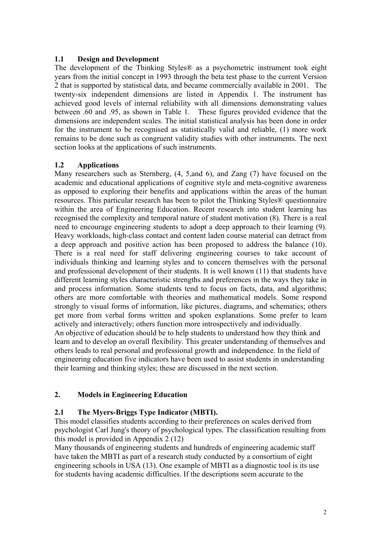#### **1.1 Design and Development**

The development of the Thinking Styles® as a psychometric instrument took eight years from the initial concept in 1993 through the beta test phase to the current Version 2 that is supported by statistical data, and became commercially available in 2001. The twenty-six independent dimensions are listed in Appendix 1. The instrument has achieved good levels of internal reliability with all dimensions demonstrating values between .60 and .95, as shown in Table 1. These figures provided evidence that the dimensions are independent scales. The initial statistical analysis has been done in order for the instrument to be recognised as statistically valid and reliable, (1) more work remains to be done such as congruent validity studies with other instruments. The next section looks at the applications of such instruments.

### **1.2 Applications**

Many researchers such as Sternberg, (4, 5,and 6), and Zang (7) have focused on the academic and educational applications of cognitive style and meta-cognitive awareness as opposed to exploring their benefits and applications within the areas of the human resources. This particular research has been to pilot the Thinking Styles® questionnaire within the area of Engineering Education. Recent research into student learning has recognised the complexity and temporal nature of student motivation (8). There is a real need to encourage engineering students to adopt a deep approach to their learning (9). Heavy workloads, high-class contact and content laden course material can detract from a deep approach and positive action has been proposed to address the balance (10). There is a real need for staff delivering engineering courses to take account of individuals thinking and learning styles and to concern themselves with the personal and professional development of their students. It is well known (11) that students have different learning styles characteristic strengths and preferences in the ways they take in and process information. Some students tend to focus on facts, data, and algorithms; others are more comfortable with theories and mathematical models. Some respond strongly to visual forms of information, like pictures, diagrams, and schematics; others get more from verbal forms written and spoken explanations. Some prefer to learn actively and interactively; others function more introspectively and individually. An objective of education should be to help students to understand how they think and learn and to develop an overall flexibility. This greater understanding of themselves and others leads to real personal and professional growth and independence. In the field of engineering education five indicators have been used to assist students in understanding their learning and thinking styles; these are discussed in the next section.

#### **2. Models in Engineering Education**

#### **2.1 The Myers-Briggs Type Indicator (MBTI).**

This model classifies students according to their preferences on scales derived from psychologist Carl Jung's theory of psychological types. The classification resulting from this model is provided in Appendix 2 (12)

Many thousands of engineering students and hundreds of engineering academic staff have taken the MBTI as part of a research study conducted by a consortium of eight engineering schools in USA (13). One example of MBTI as a diagnostic tool is its use for students having academic difficulties. If the descriptions seem accurate to the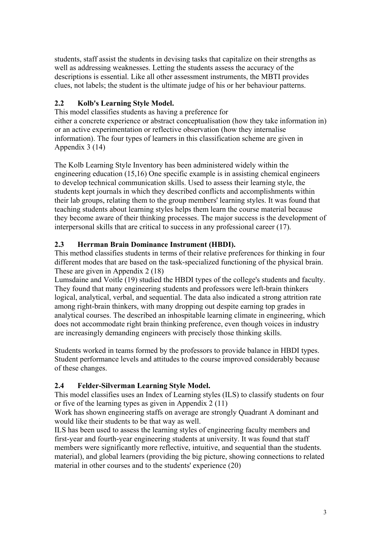students, staff assist the students in devising tasks that capitalize on their strengths as well as addressing weaknesses. Letting the students assess the accuracy of the descriptions is essential. Like all other assessment instruments, the MBTI provides clues, not labels; the student is the ultimate judge of his or her behaviour patterns.

## **2.2 Kolb's Learning Style Model.**

This model classifies students as having a preference for either a concrete experience or abstract conceptualisation (how they take information in) or an active experimentation or reflective observation (how they internalise information). The four types of learners in this classification scheme are given in Appendix 3 (14)

The Kolb Learning Style Inventory has been administered widely within the engineering education (15,16) One specific example is in assisting chemical engineers to develop technical communication skills. Used to assess their learning style, the students kept journals in which they described conflicts and accomplishments within their lab groups, relating them to the group members' learning styles. It was found that teaching students about learning styles helps them learn the course material because they become aware of their thinking processes. The major success is the development of interpersonal skills that are critical to success in any professional career (17).

## **2.3 Herrman Brain Dominance Instrument (HBDI).**

This method classifies students in terms of their relative preferences for thinking in four different modes that are based on the task-specialized functioning of the physical brain. These are given in Appendix 2 (18)

Lumsdaine and Voitle (19) studied the HBDI types of the college's students and faculty. They found that many engineering students and professors were left-brain thinkers logical, analytical, verbal, and sequential. The data also indicated a strong attrition rate among right-brain thinkers, with many dropping out despite earning top grades in analytical courses. The described an inhospitable learning climate in engineering, which does not accommodate right brain thinking preference, even though voices in industry are increasingly demanding engineers with precisely those thinking skills.

Students worked in teams formed by the professors to provide balance in HBDI types. Student performance levels and attitudes to the course improved considerably because of these changes.

## **2.4 Felder-Silverman Learning Style Model.**

This model classifies uses an Index of Learning styles (ILS) to classify students on four or five of the learning types as given in Appendix 2 (11)

Work has shown engineering staffs on average are strongly Quadrant A dominant and would like their students to be that way as well.

ILS has been used to assess the learning styles of engineering faculty members and first-year and fourth-year engineering students at university. It was found that staff members were significantly more reflective, intuitive, and sequential than the students. material), and global learners (providing the big picture, showing connections to related material in other courses and to the students' experience (20)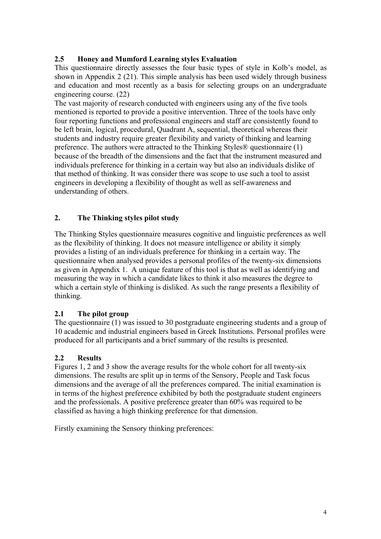### **2.5 Honey and Mumford Learning styles Evaluation**

This questionnaire directly assesses the four basic types of style in Kolb's model, as shown in Appendix 2 (21). This simple analysis has been used widely through business and education and most recently as a basis for selecting groups on an undergraduate engineering course. (22)

The vast majority of research conducted with engineers using any of the five tools mentioned is reported to provide a positive intervention. Three of the tools have only four reporting functions and professional engineers and staff are consistently found to be left brain, logical, procedural, Quadrant A, sequential, theoretical whereas their students and industry require greater flexibility and variety of thinking and learning preference. The authors were attracted to the Thinking Styles® questionnaire (1) because of the breadth of the dimensions and the fact that the instrument measured and individuals preference for thinking in a certain way but also an individuals dislike of that method of thinking. It was consider there was scope to use such a tool to assist engineers in developing a flexibility of thought as well as self-awareness and understanding of others.

### **2. The Thinking styles pilot study**

The Thinking Styles questionnaire measures cognitive and linguistic preferences as well as the flexibility of thinking. It does not measure intelligence or ability it simply provides a listing of an individuals preference for thinking in a certain way. The questionnaire when analysed provides a personal profiles of the twenty-six dimensions as given in Appendix 1. A unique feature of this tool is that as well as identifying and measuring the way in which a candidate likes to think it also measures the degree to which a certain style of thinking is disliked. As such the range presents a flexibility of thinking.

#### **2.1 The pilot group**

The questionnaire (1) was issued to 30 postgraduate engineering students and a group of 10 academic and industrial engineers based in Greek Institutions. Personal profiles were produced for all participants and a brief summary of the results is presented.

#### **2.2 Results**

Figures 1, 2 and 3 show the average results for the whole cohort for all twenty-six dimensions. The results are split up in terms of the Sensory, People and Task focus dimensions and the average of all the preferences compared. The initial examination is in terms of the highest preference exhibited by both the postgraduate student engineers and the professionals. A positive preference greater than 60% was required to be classified as having a high thinking preference for that dimension.

Firstly examining the Sensory thinking preferences: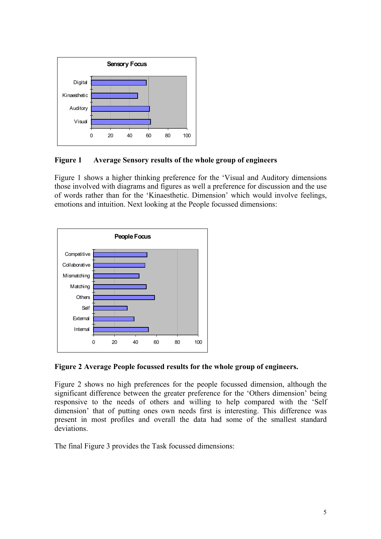

### **Figure 1 Average Sensory results of the whole group of engineers**

Figure 1 shows a higher thinking preference for the 'Visual and Auditory dimensions those involved with diagrams and figures as well a preference for discussion and the use of words rather than for the 'Kinaesthetic. Dimension' which would involve feelings, emotions and intuition. Next looking at the People focussed dimensions:



## **Figure 2 Average People focussed results for the whole group of engineers.**

Figure 2 shows no high preferences for the people focussed dimension, although the significant difference between the greater preference for the 'Others dimension' being responsive to the needs of others and willing to help compared with the 'Self dimension' that of putting ones own needs first is interesting. This difference was present in most profiles and overall the data had some of the smallest standard deviations.

The final Figure 3 provides the Task focussed dimensions: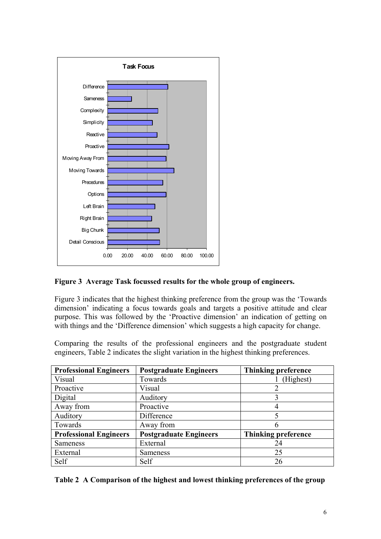

#### **Figure 3 Average Task focussed results for the whole group of engineers.**

Figure 3 indicates that the highest thinking preference from the group was the 'Towards dimension' indicating a focus towards goals and targets a positive attitude and clear purpose. This was followed by the 'Proactive dimension' an indication of getting on with things and the 'Difference dimension' which suggests a high capacity for change.

Comparing the results of the professional engineers and the postgraduate student engineers, Table 2 indicates the slight variation in the highest thinking preferences.

| <b>Professional Engineers</b> | <b>Postgraduate Engineers</b> | <b>Thinking preference</b> |
|-------------------------------|-------------------------------|----------------------------|
| Visual                        | Towards                       | (Highest)                  |
| Proactive                     | Visual                        | $\overline{2}$             |
| Digital                       | Auditory                      | 3                          |
| Away from                     | Proactive                     |                            |
| Auditory                      | Difference                    | 5                          |
| Towards                       | Away from                     | 6                          |
| <b>Professional Engineers</b> | <b>Postgraduate Engineers</b> | <b>Thinking preference</b> |
| <b>Sameness</b>               | External                      | 24                         |
| External                      | <b>Sameness</b>               | 25                         |
| Self                          | Self                          | 26                         |

|  |  |  |  | Table 2 A Comparison of the highest and lowest thinking preferences of the group |  |
|--|--|--|--|----------------------------------------------------------------------------------|--|
|  |  |  |  |                                                                                  |  |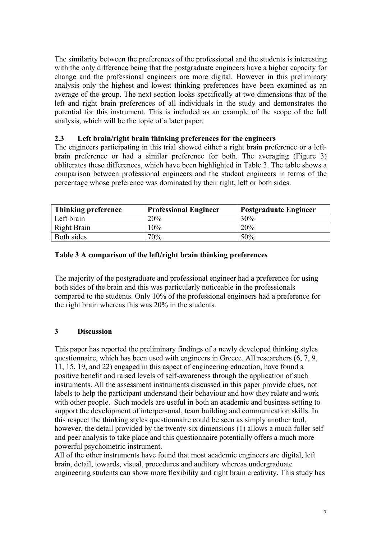The similarity between the preferences of the professional and the students is interesting with the only difference being that the postgraduate engineers have a higher capacity for change and the professional engineers are more digital. However in this preliminary analysis only the highest and lowest thinking preferences have been examined as an average of the group. The next section looks specifically at two dimensions that of the left and right brain preferences of all individuals in the study and demonstrates the potential for this instrument. This is included as an example of the scope of the full analysis, which will be the topic of a later paper.

#### **2.3 Left brain/right brain thinking preferences for the engineers**

The engineers participating in this trial showed either a right brain preference or a leftbrain preference or had a similar preference for both. The averaging (Figure 3) obliterates these differences, which have been highlighted in Table 3. The table shows a comparison between professional engineers and the student engineers in terms of the percentage whose preference was dominated by their right, left or both sides.

| Thinking preference | <b>Professional Engineer</b> | <b>Postgraduate Engineer</b> |
|---------------------|------------------------------|------------------------------|
| Left brain          | 20%                          | 30%                          |
| Right Brain         | 10%                          | 20%                          |
| Both sides          | 70%                          | 50%                          |

#### **Table 3 A comparison of the left/right brain thinking preferences**

The majority of the postgraduate and professional engineer had a preference for using both sides of the brain and this was particularly noticeable in the professionals compared to the students. Only 10% of the professional engineers had a preference for the right brain whereas this was 20% in the students.

#### **3 Discussion**

This paper has reported the preliminary findings of a newly developed thinking styles questionnaire, which has been used with engineers in Greece. All researchers (6, 7, 9, 11, 15, 19, and 22) engaged in this aspect of engineering education, have found a positive benefit and raised levels of self-awareness through the application of such instruments. All the assessment instruments discussed in this paper provide clues, not labels to help the participant understand their behaviour and how they relate and work with other people. Such models are useful in both an academic and business setting to support the development of interpersonal, team building and communication skills. In this respect the thinking styles questionnaire could be seen as simply another tool, however, the detail provided by the twenty-six dimensions (1) allows a much fuller self and peer analysis to take place and this questionnaire potentially offers a much more powerful psychometric instrument.

All of the other instruments have found that most academic engineers are digital, left brain, detail, towards, visual, procedures and auditory whereas undergraduate engineering students can show more flexibility and right brain creativity. This study has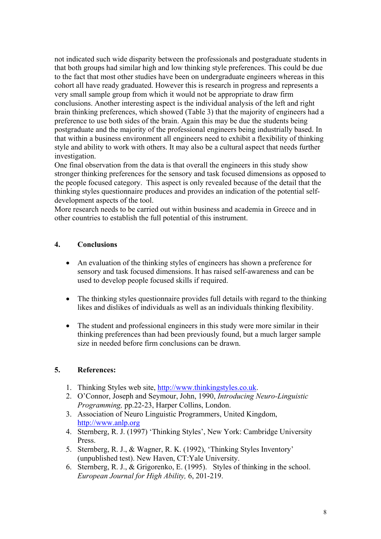not indicated such wide disparity between the professionals and postgraduate students in that both groups had similar high and low thinking style preferences. This could be due to the fact that most other studies have been on undergraduate engineers whereas in this cohort all have ready graduated. However this is research in progress and represents a very small sample group from which it would not be appropriate to draw firm conclusions. Another interesting aspect is the individual analysis of the left and right brain thinking preferences, which showed (Table 3) that the majority of engineers had a preference to use both sides of the brain. Again this may be due the students being postgraduate and the majority of the professional engineers being industrially based. In that within a business environment all engineers need to exhibit a flexibility of thinking style and ability to work with others. It may also be a cultural aspect that needs further investigation.

One final observation from the data is that overall the engineers in this study show stronger thinking preferences for the sensory and task focused dimensions as opposed to the people focused category. This aspect is only revealed because of the detail that the thinking styles questionnaire produces and provides an indication of the potential selfdevelopment aspects of the tool.

More research needs to be carried out within business and academia in Greece and in other countries to establish the full potential of this instrument.

#### **4. Conclusions**

- An evaluation of the thinking styles of engineers has shown a preference for sensory and task focused dimensions. It has raised self-awareness and can be used to develop people focused skills if required.
- The thinking styles questionnaire provides full details with regard to the thinking likes and dislikes of individuals as well as an individuals thinking flexibility.
- The student and professional engineers in this study were more similar in their thinking preferences than had been previously found, but a much larger sample size in needed before firm conclusions can be drawn.

#### **5. References:**

- 1. Thinking Styles web site, [http://www.thinkingstyles.co.uk](http://www.thinkingstyles.co.uk/).
- 2. O'Connor, Joseph and Seymour, John, 1990, *Introducing Neuro-Linguistic Programming,* pp.22-23, Harper Collins, London.
- 3. Association of Neuro Linguistic Programmers, United Kingdom, [http://www.](http://www/)anlp.org
- 4. Sternberg, R. J. (1997) 'Thinking Styles', New York: Cambridge University Press.
- 5. Sternberg, R. J., & Wagner, R. K. (1992), 'Thinking Styles Inventory' (unpublished test). New Haven, CT:Yale University.
- 6. Sternberg, R. J., & Grigorenko, E. (1995). Styles of thinking in the school. *European Journal for High Ability,* 6, 201-219.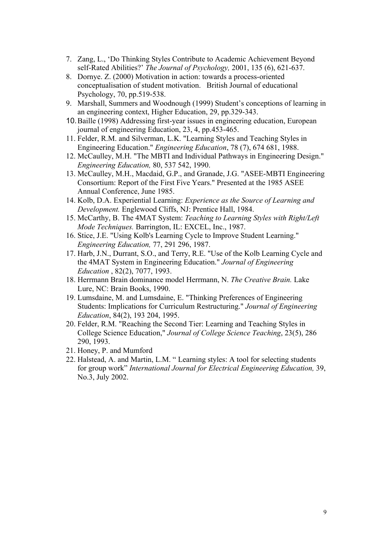- 7. Zang, L., 'Do Thinking Styles Contribute to Academic Achievement Beyond self-Rated Abilities?' *The Journal of Psychology,* 2001, 135 (6), 621-637.
- 8. Dornye. Z. (2000) Motivation in action: towards a process-oriented conceptualisation of student motivation. British Journal of educational Psychology, 70, pp.519-538.
- 9. Marshall, Summers and Woodnough (1999) Student's conceptions of learning in an engineering context, Higher Education, 29, pp.329-343.
- 10. Baille (1998) Addressing first-year issues in engineering education, European journal of engineering Education, 23, 4, pp.453-465.
- 11. Felder, R.M. and Silverman, L.K. "Learning Styles and Teaching Styles in Engineering Education." *Engineering Education*, 78 (7), 674 681, 1988.
- 12. McCaulley, M.H. "The MBTI and Individual Pathways in Engineering Design." *Engineering Education,* 80, 537 542, 1990.
- 13. McCaulley, M.H., Macdaid, G.P., and Granade, J.G. "ASEE-MBTI Engineering Consortium: Report of the First Five Years." Presented at the 1985 ASEE Annual Conference, June 1985.
- 14. Kolb, D.A. Experiential Learning: *Experience as the Source of Learning and Development.* Englewood Cliffs, NJ: Prentice Hall, 1984.
- 15. McCarthy, B. The 4MAT System: *Teaching to Learning Styles with Right/Left Mode Techniques.* Barrington, IL: EXCEL, Inc., 1987.
- 16. Stice, J.E. "Using Kolb's Learning Cycle to Improve Student Learning." *Engineering Education,* 77, 291 296, 1987.
- 17. Harb, J.N., Durrant, S.O., and Terry, R.E. "Use of the Kolb Learning Cycle and the 4MAT System in Engineering Education." *Journal of Engineering Education* , 82(2), 7077, 1993.
- 18. Herrmann Brain dominance model Herrmann, N. *The Creative Brain.* Lake Lure, NC: Brain Books, 1990.
- 19. Lumsdaine, M. and Lumsdaine, E. "Thinking Preferences of Engineering Students: Implications for Curriculum Restructuring." *Journal of Engineering Education*, 84(2), 193 204, 1995.
- 20. Felder, R.M. "Reaching the Second Tier: Learning and Teaching Styles in College Science Education," *Journal of College Science Teaching*, 23(5), 286 290, 1993.
- 21. Honey, P. and Mumford
- 22. Halstead, A. and Martin, L.M. " Learning styles: A tool for selecting students for group work" *International Journal for Electrical Engineering Education,* 39, No.3, July 2002.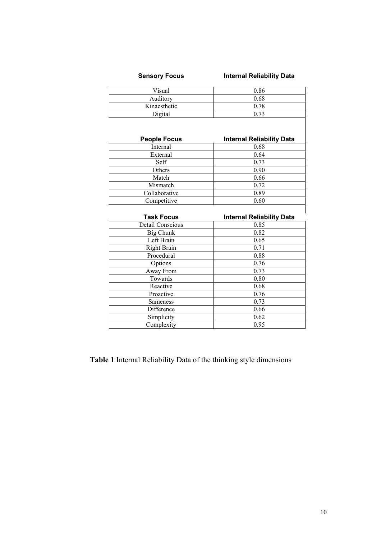# **Sensory Focus Internal Reliability Data**

| Visual       | 0.86 |
|--------------|------|
| Auditory     | 0.68 |
| Kinaesthetic | 0.78 |
| Digital      | በ 73 |

| <b>People Focus</b> | <b>Internal Reliability Data</b> |
|---------------------|----------------------------------|
| Internal            | 0.68                             |
| External            | 0.64                             |
| <b>Self</b>         | 0.73                             |
| Others              | 0.90                             |
| Match               | 0.66                             |
| Mismatch            | 0.72                             |
| Collaborative       | 0.89                             |
| Competitive         | 0.60                             |

| <b>Task Focus</b>       | <b>Internal Reliability Data</b> |
|-------------------------|----------------------------------|
| <b>Detail Conscious</b> | 0.85                             |
| Big Chunk               | 0.82                             |
| Left Brain              | 0.65                             |
| <b>Right Brain</b>      | 0.71                             |
| Procedural              | 0.88                             |
| Options                 | 0.76                             |
| Away From               | 0.73                             |
| Towards                 | 0.80                             |
| Reactive                | 0.68                             |
| Proactive               | 0.76                             |
| <b>Sameness</b>         | 0.73                             |
| Difference              | 0.66                             |
| Simplicity              | 0.62                             |
| Complexity              | 0.95                             |

**Table 1** Internal Reliability Data of the thinking style dimensions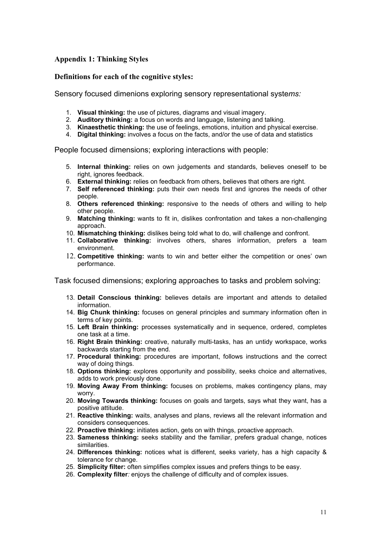#### **Appendix 1: Thinking Styles**

#### **Definitions for each of the cognitive styles:**

Sensory focused dimenions exploring sensory representational syste*ms:*

- 1. **Visual thinking:** the use of pictures, diagrams and visual imagery.
- 2. **Auditory thinking:** a focus on words and language, listening and talking.
- 3. **Kinaesthetic thinking:** the use of feelings, emotions, intuition and physical exercise.
- 4. **Digital thinking:** involves a focus on the facts, and/or the use of data and statistics

People focused dimensions; exploring interactions with people:

- 5. **Internal thinking:** relies on own judgements and standards, believes oneself to be right, ignores feedback.
- 6. **External thinking:** relies on feedback from others, believes that others are right.
- 7. **Self referenced thinking:** puts their own needs first and ignores the needs of other people.
- 8. **Others referenced thinking:** responsive to the needs of others and willing to help other people.
- 9. **Matching thinking:** wants to fit in, dislikes confrontation and takes a non-challenging approach.
- 10. **Mismatching thinking:** dislikes being told what to do, will challenge and confront.
- 11. **Collaborative thinking:** involves others, shares information, prefers a team environment.
- 12. **Competitive thinking:** wants to win and better either the competition or ones' own performance.

Task focused dimensions; exploring approaches to tasks and problem solving:

- 13. **Detail Conscious thinking:** believes details are important and attends to detailed information.
- 14. **Big Chunk thinking:** focuses on general principles and summary information often in terms of key points.
- 15. **Left Brain thinking:** processes systematically and in sequence, ordered, completes one task at a time.
- 16. **Right Brain thinking:** creative, naturally multi-tasks, has an untidy workspace, works backwards starting from the end.
- 17. **Procedural thinking:** procedures are important, follows instructions and the correct way of doing things.
- 18. **Options thinking:** explores opportunity and possibility, seeks choice and alternatives, adds to work previously done.
- 19. **Moving Away From thinking:** focuses on problems, makes contingency plans, may worry.
- 20. **Moving Towards thinking:** focuses on goals and targets, says what they want, has a positive attitude.
- 21. **Reactive thinking:** waits, analyses and plans, reviews all the relevant information and considers consequences.
- 22. **Proactive thinking:** initiates action, gets on with things, proactive approach.
- 23. **Sameness thinking:** seeks stability and the familiar, prefers gradual change, notices similarities.
- 24. **Differences thinking:** notices what is different, seeks variety, has a high capacity & tolerance for change.
- 25. **Simplicity filter:** often simplifies complex issues and prefers things to be easy.
- 26. **Complexity filter***:* enjoys the challenge of difficulty and of complex issues.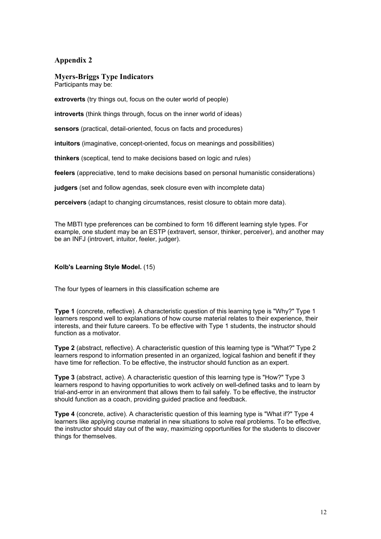#### **Appendix 2**

#### **Myers-Briggs Type Indicators**

Participants may be:

**extroverts** (try things out, focus on the outer world of people)

**introverts** (think things through, focus on the inner world of ideas)

**sensors** (practical, detail-oriented, focus on facts and procedures)

**intuitors** (imaginative, concept-oriented, focus on meanings and possibilities)

**thinkers** (sceptical, tend to make decisions based on logic and rules)

**feelers** (appreciative, tend to make decisions based on personal humanistic considerations)

**judgers** (set and follow agendas, seek closure even with incomplete data)

**perceivers** (adapt to changing circumstances, resist closure to obtain more data).

The MBTI type preferences can be combined to form 16 different learning style types. For example, one student may be an ESTP (extravert, sensor, thinker, perceiver), and another may be an INFJ (introvert, intuitor, feeler, judger).

#### **Kolb's Learning Style Model.** (15)

The four types of learners in this classification scheme are

**Type 1** (concrete, reflective). A characteristic question of this learning type is "Why?" Type 1 learners respond well to explanations of how course material relates to their experience, their interests, and their future careers. To be effective with Type 1 students, the instructor should function as a motivator.

**Type 2** (abstract, reflective). A characteristic question of this learning type is "What?" Type 2 learners respond to information presented in an organized, logical fashion and benefit if they have time for reflection. To be effective, the instructor should function as an expert.

**Type 3** (abstract, active). A characteristic question of this learning type is "How?" Type 3 learners respond to having opportunities to work actively on well-defined tasks and to learn by trial-and-error in an environment that allows them to fail safely. To be effective, the instructor should function as a coach, providing guided practice and feedback.

**Type 4** (concrete, active). A characteristic question of this learning type is "What if?" Type 4 learners like applying course material in new situations to solve real problems. To be effective, the instructor should stay out of the way, maximizing opportunities for the students to discover things for themselves.